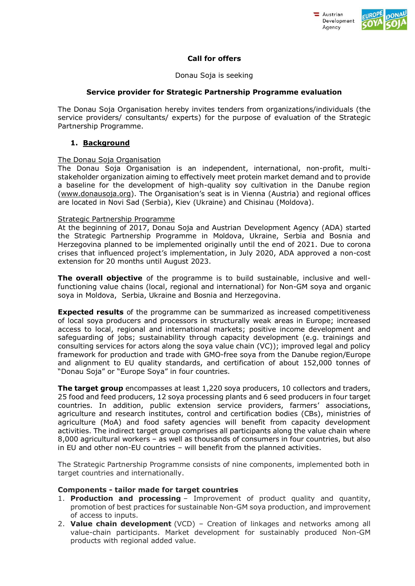



# **Call for offers**

### Donau Soja is seeking

## **Service provider for Strategic Partnership Programme evaluation**

The Donau Soja Organisation hereby invites tenders from organizations/individuals (the service providers/ consultants/ experts) for the purpose of evaluation of the Strategic Partnership Programme.

## **1. Background**

### The Donau Soja Organisation

The Donau Soja Organisation is an independent, international, non-profit, multistakeholder organization aiming to effectively meet protein market demand and to provide a baseline for the development of high-quality soy cultivation in the Danube region [\(www.donausoja.org\)](http://www.donausoja.org/). The Organisation's seat is in Vienna (Austria) and regional offices are located in Novi Sad (Serbia), Kiev (Ukraine) and Chisinau (Moldova).

### Strategic Partnership Programme

At the beginning of 2017, Donau Soja and Austrian Development Agency (ADA) started the Strategic Partnership Programme in Moldova, Ukraine, Serbia and Bosnia and Herzegovina planned to be implemented originally until the end of 2021. Due to corona crises that influenced project's implementation, in July 2020, ADA approved a non-cost extension for 20 months until August 2023.

**The overall objective** of the programme is to build sustainable, inclusive and wellfunctioning value chains (local, regional and international) for Non-GM soya and organic soya in Moldova, Serbia, Ukraine and Bosnia and Herzegovina.

**Expected results** of the programme can be summarized as increased competitiveness of local soya producers and processors in structurally weak areas in Europe; increased access to local, regional and international markets; positive income development and safeguarding of jobs; sustainability through capacity development (e.g. trainings and consulting services for actors along the soya value chain (VC)); improved legal and policy framework for production and trade with GMO-free soya from the Danube region/Europe and alignment to EU quality standards, and certification of about 152,000 tonnes of "Donau Soja" or "Europe Soya" in four countries.

**The target group** encompasses at least 1,220 soya producers, 10 collectors and traders, 25 food and feed producers, 12 soya processing plants and 6 seed producers in four target countries. In addition, public extension service providers, farmers' associations, agriculture and research institutes, control and certification bodies (CBs), ministries of agriculture (MoA) and food safety agencies will benefit from capacity development activities. The indirect target group comprises all participants along the value chain where 8,000 agricultural workers – as well as thousands of consumers in four countries, but also in EU and other non-EU countries – will benefit from the planned activities.

The Strategic Partnership Programme consists of nine components, implemented both in target countries and internationally.

### **Components - tailor made for target countries**

- 1. **Production and processing** Improvement of product quality and quantity, promotion of best practices for sustainable Non-GM soya production, and improvement of access to inputs.
- 2. **Value chain development** (VCD) Creation of linkages and networks among all value-chain participants. Market development for sustainably produced Non-GM products with regional added value.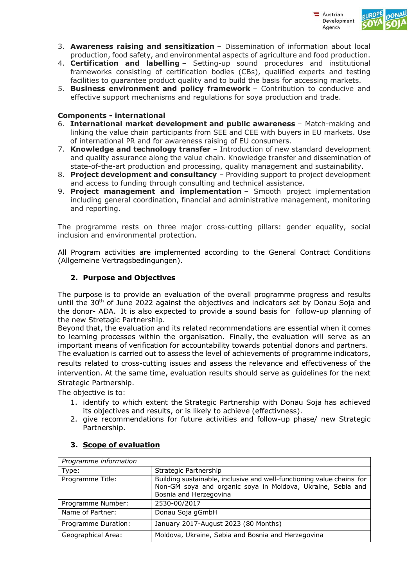



- 3. **Awareness raising and sensitization** Dissemination of information about local production, food safety, and environmental aspects of agriculture and food production.
- 4. **Certification and labelling** Setting-up sound procedures and institutional frameworks consisting of certification bodies (CBs), qualified experts and testing facilities to guarantee product quality and to build the basis for accessing markets.
- 5. **Business environment and policy framework** Contribution to conducive and effective support mechanisms and regulations for soya production and trade.

## **Components - international**

- 6. **International market development and public awareness**  Match-making and linking the value chain participants from SEE and CEE with buyers in EU markets. Use of international PR and for awareness raising of EU consumers.
- 7. **Knowledge and technology transfer** Introduction of new standard development and quality assurance along the value chain. Knowledge transfer and dissemination of state-of-the-art production and processing, quality management and sustainability.
- 8. **Project development and consultancy**  Providing support to project development and access to funding through consulting and technical assistance.
- 9. **Project management and implementation** Smooth project implementation including general coordination, financial and administrative management, monitoring and reporting.

The programme rests on three major cross-cutting pillars: gender equality, social inclusion and environmental protection.

All Program activities are implemented according to the General Contract Conditions (Allgemeine Vertragsbedingungen).

## **2. Purpose and Objectives**

The purpose is to provide an evaluation of the overall programme progress and results until the  $30<sup>th</sup>$  of June 2022 against the objectives and indicators set by Donau Soja and the donor- ADA. It is also expected to provide a sound basis for follow-up planning of the new Stretagic Partnership.

Beyond that, the evaluation and its related recommendations are essential when it comes to learning processes within the organisation. Finally, the evaluation will serve as an important means of verification for accountability towards potential donors and partners.

The evaluation is carried out to assess the level of achievements of programme indicators, results related to cross-cutting issues and assess the relevance and effectiveness of the intervention. At the same time, evaluation results should serve as guidelines for the next Strategic Partnership.

The objective is to:

- 1. identify to which extent the Strategic Partnership with Donau Soja has achieved its objectives and results, or is likely to achieve (effectivness).
- 2. give recommendations for future activities and follow-up phase/ new Strategic Partnership.

| Programme information |                                                                                                                                                                |
|-----------------------|----------------------------------------------------------------------------------------------------------------------------------------------------------------|
| Type:                 | Strategic Partnership                                                                                                                                          |
| Programme Title:      | Building sustainable, inclusive and well-functioning value chains for<br>Non-GM soya and organic soya in Moldova, Ukraine, Sebia and<br>Bosnia and Herzegovina |
| Programme Number:     | 2530-00/2017                                                                                                                                                   |
| Name of Partner:      | Donau Soja gGmbH                                                                                                                                               |
| Programme Duration:   | January 2017-August 2023 (80 Months)                                                                                                                           |
| Geographical Area:    | Moldova, Ukraine, Sebia and Bosnia and Herzegovina                                                                                                             |

# **3. Scope of evaluation**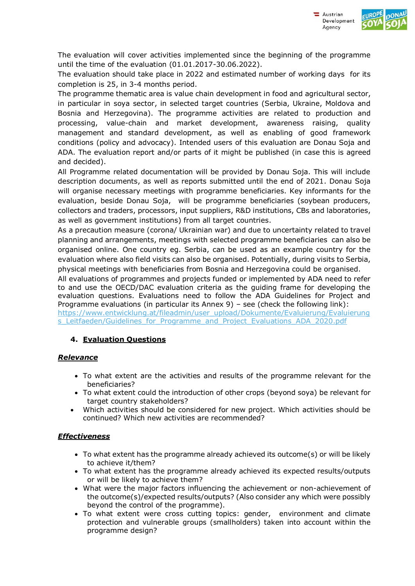

The evaluation will cover activities implemented since the beginning of the programme until the time of the evaluation (01.01.2017-30.06.2022).

The evaluation should take place in 2022 and estimated number of working days for its completion is 25, in 3-4 months period.

The programme thematic area is value chain development in food and agricultural sector, in particular in soya sector, in selected target countries (Serbia, Ukraine, Moldova and Bosnia and Herzegovina). The programme activities are related to production and processing, value-chain and market development, awareness raising, quality management and standard development, as well as enabling of good framework conditions (policy and advocacy). Intended users of this evaluation are Donau Soja and ADA. The evaluation report and/or parts of it might be published (in case this is agreed and decided).

All Programme related documentation will be provided by Donau Soja. This will include description documents, as well as reports submitted until the end of 2021. Donau Soja will organise necessary meetings with programme beneficiaries. Key informants for the evaluation, beside Donau Soja, will be programme beneficiaries (soybean producers, collectors and traders, processors, input suppliers, R&D institutions, CBs and laboratories, as well as government institutions) from all target countries.

As a precaution measure (corona/ Ukrainian war) and due to uncertainty related to travel planning and arrangements, meetings with selected programme beneficiaries can also be organised online. One country eg. Serbia, can be used as an example country for the evaluation where also field visits can also be organised. Potentially, during visits to Serbia, physical meetings with beneficiaries from Bosnia and Herzegovina could be organised.

All evaluations of programmes and projects funded or implemented by ADA need to refer to and use the OECD/DAC evaluation criteria as the guiding frame for developing the evaluation questions. Evaluations need to follow the ADA Guidelines for Project and Programme evaluations (in particular its Annex 9) – see (check the following link):

[https://www.entwicklung.at/fileadmin/user\\_upload/Dokumente/Evaluierung/Evaluierung](https://www.entwicklung.at/fileadmin/user_upload/Dokumente/Evaluierung/Evaluierungs_Leitfaeden/Guidelines_for_Programme_and_Project_Evaluations_ADA_2020.pdf) s Leitfaeden/Guidelines for Programme and Project Evaluations ADA 2020.pdf

# **4. Evaluation Questions**

# *Relevance*

- To what extent are the activities and results of the programme relevant for the beneficiaries?
- To what extent could the introduction of other crops (beyond soya) be relevant for target country stakeholders?
- Which activities should be considered for new project. Which activities should be continued? Which new activities are recommended?

# *Effectiveness*

- $\bullet$  To what extent has the programme already achieved its outcome(s) or will be likely to achieve it/them?
- To what extent has the programme already achieved its expected results/outputs or will be likely to achieve them?
- What were the major factors influencing the achievement or non-achievement of the outcome(s)/expected results/outputs? (Also consider any which were possibly beyond the control of the programme).
- To what extent were cross cutting topics: gender, environment and climate protection and vulnerable groups (smallholders) taken into account within the programme design?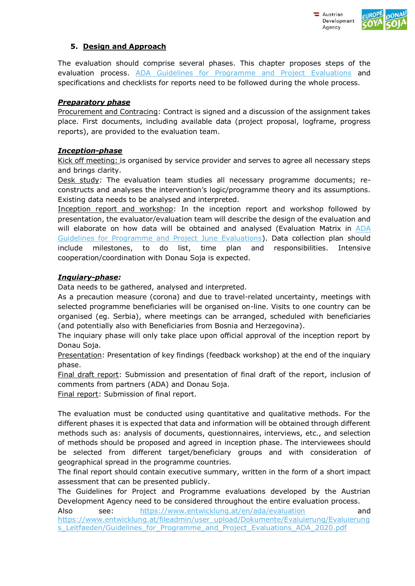



# **5. Design and Approach**

The evaluation should comprise several phases. This chapter proposes steps of the evaluation process. [ADA Guidelines for Programme and Project Evaluations](https://www.entwicklung.at/fileadmin/user_upload/Dokumente/Evaluierung/Evaluierungs_Leitfaeden/Guidelines_for_Programme_and_Project_Evaluations_ADA_2020.pdf) and specifications and checklists for reports need to be followed during the whole process.

# *Preparatory phase*

Procurement and Contracing: Contract is signed and a discussion of the assignment takes place. First documents, including available data (project proposal, logframe, progress reports), are provided to the evaluation team.

# *Inception-phase*

Kick off meeting: is organised by service provider and serves to agree all necessary steps and brings clarity.

Desk study: The evaluation team studies all necessary programme documents; reconstructs and analyses the intervention's logic/programme theory and its assumptions. Existing data needs to be analysed and interpreted.

Inception report and workshop: In the inception report and workshop followed by presentation, the evaluator/evaluation team will describe the design of the evaluation and will elaborate on how data will be obtained and analysed (Evaluation Matrix in ADA [Guidelines for Programme and Project June Evaluations\)](https://www.entwicklung.at/fileadmin/user_upload/Dokumente/Evaluierung/Evaluierungs_Leitfaeden/Guidelines_for_Programme_and_Project_Evaluations_ADA_2020.pdf). Data collection plan should include milestones, to do list, time plan and responsibilities. Intensive cooperation/coordination with Donau Soja is expected.

# *Inquiary-phase:*

Data needs to be gathered, analysed and interpreted.

As a precaution measure (corona) and due to travel-related uncertainty, meetings with selected programme beneficiaries will be organised on-line. Visits to one country can be organised (eg. Serbia), where meetings can be arranged, scheduled with beneficiaries (and potentially also with Beneficiaries from Bosnia and Herzegovina).

The inquiary phase will only take place upon official approval of the inception report by Donau Soja.

Presentation: Presentation of key findings (feedback workshop) at the end of the inquiary phase.

Final draft report: Submission and presentation of final draft of the report, inclusion of comments from partners (ADA) and Donau Soja.

Final report: Submission of final report.

The evaluation must be conducted using quantitative and qualitative methods. For the different phases it is expected that data and information will be obtained through different methods such as: analysis of documents, questionnaires, interviews, etc., and selection of methods should be proposed and agreed in inception phase. The interviewees should be selected from different target/beneficiary groups and with consideration of geographical spread in the programme countries.

The final report should contain executive summary, written in the form of a short impact assessment that can be presented publicly.

The Guidelines for Project and Programme evaluations developed by the Austrian Development Agency need to be considered throughout the entire evaluation process.

Also see: <https://www.entwicklung.at/en/ada/evaluation>and [https://www.entwicklung.at/fileadmin/user\\_upload/Dokumente/Evaluierung/Evaluierung](https://www.entwicklung.at/fileadmin/user_upload/Dokumente/Evaluierung/Evaluierungs_Leitfaeden/Guidelines_for_Programme_and_Project_Evaluations_ADA_2020.pdf) s\_Leitfaeden/Guidelines\_for\_Programme\_and\_Project\_Evaluations\_ADA\_2020.pdf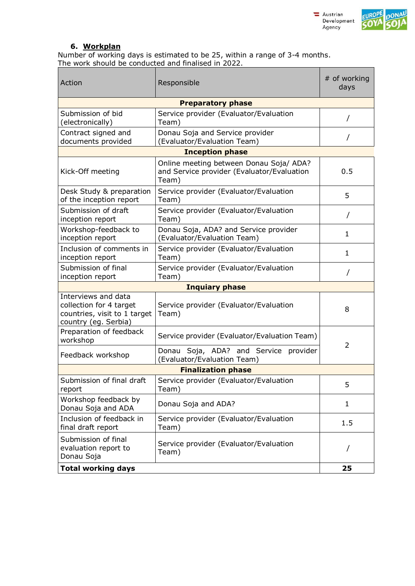



## **6. Workplan**

Number of working days is estimated to be 25, within a range of 3-4 months. The work should be conducted and finalised in 2022.

| Action                                                                                                 | Responsible                                                                                    | # of working<br>days |  |  |
|--------------------------------------------------------------------------------------------------------|------------------------------------------------------------------------------------------------|----------------------|--|--|
|                                                                                                        | <b>Preparatory phase</b>                                                                       |                      |  |  |
| Submission of bid<br>(electronically)                                                                  | Service provider (Evaluator/Evaluation<br>Team)                                                |                      |  |  |
| Contract signed and<br>documents provided                                                              | Donau Soja and Service provider<br>(Evaluator/Evaluation Team)                                 | 7                    |  |  |
| <b>Inception phase</b>                                                                                 |                                                                                                |                      |  |  |
| Kick-Off meeting                                                                                       | Online meeting between Donau Soja/ ADA?<br>and Service provider (Evaluator/Evaluation<br>Team) | 0.5                  |  |  |
| Desk Study & preparation<br>of the inception report                                                    | Service provider (Evaluator/Evaluation<br>Team)                                                | 5                    |  |  |
| Submission of draft<br>inception report                                                                | Service provider (Evaluator/Evaluation<br>Team)                                                |                      |  |  |
| Workshop-feedback to<br>inception report                                                               | Donau Soja, ADA? and Service provider<br>(Evaluator/Evaluation Team)                           | 1                    |  |  |
| Inclusion of comments in<br>inception report                                                           | Service provider (Evaluator/Evaluation<br>Team)                                                | $\mathbf{1}$         |  |  |
| Submission of final<br>inception report                                                                | Service provider (Evaluator/Evaluation<br>Team)                                                |                      |  |  |
| <b>Inquiary phase</b>                                                                                  |                                                                                                |                      |  |  |
| Interviews and data<br>collection for 4 target<br>countries, visit to 1 target<br>country (eg. Serbia) | Service provider (Evaluator/Evaluation<br>Team)                                                | 8                    |  |  |
| Preparation of feedback<br>workshop                                                                    | Service provider (Evaluator/Evaluation Team)                                                   | 2                    |  |  |
| Feedback workshop                                                                                      | Donau Soja, ADA? and Service provider<br>(Evaluator/Evaluation Team)                           |                      |  |  |
| <b>Finalization phase</b>                                                                              |                                                                                                |                      |  |  |
| Submission of final draft<br>report                                                                    | Service provider (Evaluator/Evaluation<br>Team)                                                | 5                    |  |  |
| Workshop feedback by<br>Donau Soja and ADA                                                             | Donau Soja and ADA?                                                                            | $\mathbf{1}$         |  |  |
| Inclusion of feedback in<br>final draft report                                                         | Service provider (Evaluator/Evaluation<br>Team)                                                | 1.5                  |  |  |
| Submission of final<br>evaluation report to<br>Donau Soja                                              | Service provider (Evaluator/Evaluation<br>Team)                                                |                      |  |  |
| <b>Total working days</b>                                                                              |                                                                                                | 25                   |  |  |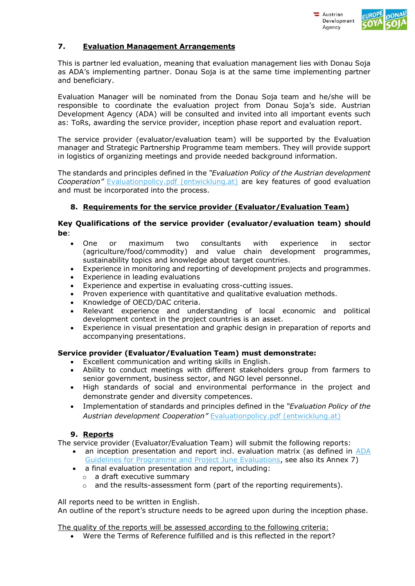



# **7. Evaluation Management Arrangements**

This is partner led evaluation, meaning that evaluation management lies with Donau Soja as ADA's implementing partner. Donau Soja is at the same time implementing partner and beneficiary.

Evaluation Manager will be nominated from the Donau Soja team and he/she will be responsible to coordinate the evaluation project from Donau Soja's side. Austrian Development Agency (ADA) will be consulted and invited into all important events such as: ToRs, awarding the service provider, inception phase report and evaluation report.

The service provider (evaluator/evaluation team) will be supported by the Evaluation manager and Strategic Partnership Programme team members. They will provide support in logistics of organizing meetings and provide needed background information.

The standards and principles defined in the *"Evaluation Policy of the Austrian development Cooperation"* [Evaluationpolicy.pdf \(entwicklung.at\)](https://www.entwicklung.at/fileadmin/user_upload/Dokumente/Evaluierung/Englisch/Evaluationpolicy.pdf) are key features of good evaluation and must be incorporated into the process.

# **8. Requirements for the service provider (Evaluator/Evaluation Team)**

## **Key Qualifications of the service provider (evaluator/evaluation team) should be**:

- One or maximum two consultants with experience in sector (agriculture/food/commodity) and value chain development programmes, sustainability topics and knowledge about target countries.
- Experience in monitoring and reporting of development projects and programmes.
- Experience in leading evaluations
- Experience and expertise in evaluating [cross-cutting issues.](https://www.entwicklung.at/fileadmin/user_upload/Dokumente/Projektabwicklung/Environmental-Gender-Social_Standards_Checklist.docx)
- Proven experience with quantitative and qualitative evaluation methods.
- Knowledge of OECD/DAC criteria.
- Relevant experience and understanding of local economic and political development context in the project countries is an asset.
- Experience in visual presentation and graphic design in preparation of reports and accompanying presentations.

# **Service provider (Evaluator/Evaluation Team) must demonstrate:**

- Excellent communication and writing skills in English.
- Ability to conduct meetings with different stakeholders group from farmers to senior government, business sector, and NGO level personnel.
- High standards of social and environmental performance in the project and demonstrate gender and diversity competences.
- Implementation of standards and principles defined in the *"Evaluation Policy of the Austrian development Cooperation"* [Evaluationpolicy.pdf \(entwicklung.at\)](https://www.entwicklung.at/fileadmin/user_upload/Dokumente/Evaluierung/Englisch/Evaluationpolicy.pdf)

### **9. Reports**

The service provider (Evaluator/Evaluation Team) will submit the following reports:

- an inception presentation and report incl. evaluation matrix (as defined in [ADA](https://www.entwicklung.at/fileadmin/user_upload/Dokumente/Evaluierung/Evaluierungs_Leitfaeden/Guidelines_for_Programme_and_Project_Evaluations_ADA_2020.pdf)  [Guidelines for Programme and Project June Evaluations,](https://www.entwicklung.at/fileadmin/user_upload/Dokumente/Evaluierung/Evaluierungs_Leitfaeden/Guidelines_for_Programme_and_Project_Evaluations_ADA_2020.pdf) see also its Annex 7)
- a final evaluation presentation and report, including:
	- o a draft executive summary
	- $\circ$  and the results-assessment form (part of the reporting requirements).

All reports need to be written in English. An outline of the report's structure needs to be agreed upon during the inception phase.

The quality of the reports will be assessed according to the following criteria:

Were the Terms of Reference fulfilled and is this reflected in the report?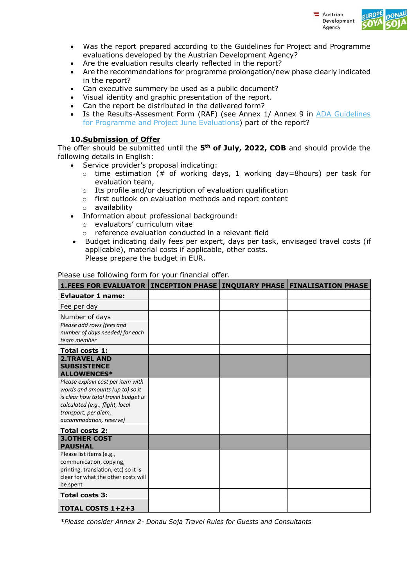



- Was the report prepared according to the Guidelines for Project and Programme evaluations developed by the Austrian Development Agency?
- Are the evaluation results clearly reflected in the report?
- Are the recommendations for programme prolongation/new phase clearly indicated in the report?
- Can executive summery be used as a public document?
- Visual identity and graphic presentation of the report.
- Can the report be distributed in the delivered form?
- Is the Results-Assesment Form (RAF) (see Annex 1/ Annex 9 in [ADA Guidelines](https://www.entwicklung.at/fileadmin/user_upload/Dokumente/Evaluierung/Evaluierungs_Leitfaeden/Guidelines_for_Programme_and_Project_Evaluations_ADA_2020.pdf)  [for Programme and Project June Evaluations\)](https://www.entwicklung.at/fileadmin/user_upload/Dokumente/Evaluierung/Evaluierungs_Leitfaeden/Guidelines_for_Programme_and_Project_Evaluations_ADA_2020.pdf) part of the report?

## **10.Submission of Offer**

The offer should be submitted until the **5 th of July, 2022, COB** and should provide the following details in English:

- Service provider's proposal indicating:
	- $\circ$  time estimation (# of working days, 1 working day=8hours) per task for evaluation team,
	- o Its profile and/or description of evaluation qualification
	- o first outlook on evaluation methods and report content
	- o availability
	- Information about professional background:
		- o evaluators' curriculum vitae
		- o reference evaluation conducted in a relevant field
- Budget indicating daily fees per expert, days per task, envisaged travel costs (if applicable), material costs if applicable, other costs. Please prepare the budget in EUR.

#### Please use following form for your financial offer.

| 1. FEES FOR EVALUATOR   INCEPTION PHASE   INQUIARY PHASE   FINALISATION PHASE |  |  |
|-------------------------------------------------------------------------------|--|--|
| <b>Evlauator 1 name:</b>                                                      |  |  |
| Fee per day                                                                   |  |  |
| Number of days                                                                |  |  |
| Please add rows (fees and                                                     |  |  |
| number of days needed) for each<br>team member                                |  |  |
| <b>Total costs 1:</b>                                                         |  |  |
| <b>2.TRAVEL AND</b>                                                           |  |  |
| <b>SUBSISTENCE</b><br><b>ALLOWENCES*</b>                                      |  |  |
| Please explain cost per item with                                             |  |  |
| words and amounts (up to) so it<br>is clear how total travel budget is        |  |  |
| calculated (e.g., flight, local                                               |  |  |
| transport, per diem,                                                          |  |  |
| accommodation, reserve)                                                       |  |  |
| <b>Total costs 2:</b>                                                         |  |  |
| <b>3.OTHER COST</b><br><b>PAUSHAL</b>                                         |  |  |
| Please list items (e.g.,                                                      |  |  |
| communication, copying,                                                       |  |  |
| printing, translation, etc) so it is<br>clear for what the other costs will   |  |  |
| be spent                                                                      |  |  |
| Total costs 3:                                                                |  |  |
| <b>TOTAL COSTS 1+2+3</b>                                                      |  |  |

\**Please consider Annex 2- Donau Soja Travel Rules for Guests and Consultants*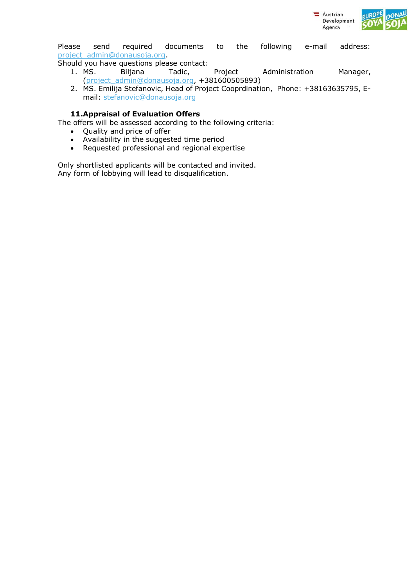

Please send required documents to the following e-mail address: [project\\_admin@donausoja.org.](mailto:project_admin@donausoja.org)

Should you have questions please contact:

- 1. MS. Biljana Tadic, Project Administration Manager, [\(project\\_admin@donausoja.org,](mailto:project_admin@donausoja.org) +381600505893)
- 2. MS. Emilija Stefanovic, Head of Project Cooprdination, Phone: +38163635795, Email: [stefanovic@donausoja.org](mailto:stefanovic@donausoja.org)

## **11.Appraisal of Evaluation Offers**

The offers will be assessed according to the following criteria:

- Quality and price of offer
- Availability in the suggested time period
- Requested professional and regional expertise

Only shortlisted applicants will be contacted and invited. Any form of lobbying will lead to disqualification.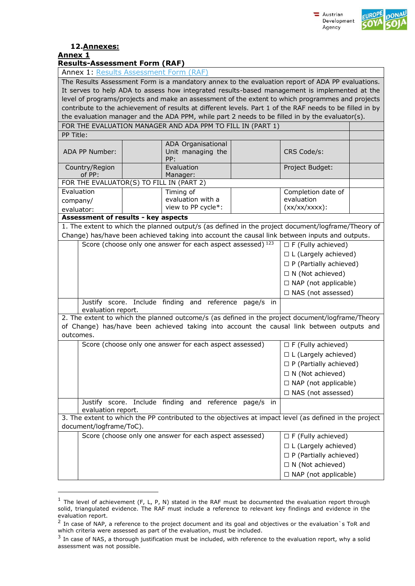



#### **12.Annexes: Annex 1**

i,

**Results-Assessment Form (RAF)**

Annex 1: [Results Assessment Form \(RAF\)](https://www.entwicklung.at/fileadmin/user_upload/Dokumente/Evaluierung/Evaluierung_Templates/Annex9_Results_AssessmentForm_Template_01.xlsx)

|                                                                                                                                                                                                   | $\overline{r}$ while $\overline{r}$ . The probable $\overline{r}$ is a probable from the first set<br>The Results Assessment Form is a mandatory annex to the evaluation report of ADA PP evaluations. |  |                                                                                                          |                               |                               |  |
|---------------------------------------------------------------------------------------------------------------------------------------------------------------------------------------------------|--------------------------------------------------------------------------------------------------------------------------------------------------------------------------------------------------------|--|----------------------------------------------------------------------------------------------------------|-------------------------------|-------------------------------|--|
|                                                                                                                                                                                                   |                                                                                                                                                                                                        |  |                                                                                                          |                               |                               |  |
| It serves to help ADA to assess how integrated results-based management is implemented at the<br>level of programs/projects and make an assessment of the extent to which programmes and projects |                                                                                                                                                                                                        |  |                                                                                                          |                               |                               |  |
|                                                                                                                                                                                                   |                                                                                                                                                                                                        |  | contribute to the achievement of results at different levels. Part 1 of the RAF needs to be filled in by |                               |                               |  |
|                                                                                                                                                                                                   |                                                                                                                                                                                                        |  | the evaluation manager and the ADA PPM, while part 2 needs to be filled in by the evaluator(s).          |                               |                               |  |
|                                                                                                                                                                                                   |                                                                                                                                                                                                        |  | FOR THE EVALUATION MANAGER AND ADA PPM TO FILL IN (PART 1)                                               |                               |                               |  |
| PP Title:                                                                                                                                                                                         |                                                                                                                                                                                                        |  |                                                                                                          |                               |                               |  |
|                                                                                                                                                                                                   |                                                                                                                                                                                                        |  | ADA Organisational                                                                                       |                               |                               |  |
|                                                                                                                                                                                                   | ADA PP Number:                                                                                                                                                                                         |  | Unit managing the<br>PP:                                                                                 |                               | CRS Code/s:                   |  |
|                                                                                                                                                                                                   | Country/Region<br>of PP:                                                                                                                                                                               |  | Evaluation<br>Manager:                                                                                   |                               | Project Budget:               |  |
|                                                                                                                                                                                                   |                                                                                                                                                                                                        |  | FOR THE EVALUATOR(S) TO FILL IN (PART 2)                                                                 |                               |                               |  |
| Evaluation                                                                                                                                                                                        |                                                                                                                                                                                                        |  | $\overline{\text{T}}$ iming of                                                                           |                               | Completion date of            |  |
| company/                                                                                                                                                                                          |                                                                                                                                                                                                        |  | evaluation with a                                                                                        |                               | evaluation                    |  |
| evaluator:                                                                                                                                                                                        |                                                                                                                                                                                                        |  | view to PP cycle*:                                                                                       |                               | $(xx/xx/xxx)$ :               |  |
|                                                                                                                                                                                                   | Assessment of results - key aspects                                                                                                                                                                    |  |                                                                                                          |                               |                               |  |
|                                                                                                                                                                                                   |                                                                                                                                                                                                        |  | 1. The extent to which the planned output/s (as defined in the project document/logframe/Theory of       |                               |                               |  |
|                                                                                                                                                                                                   |                                                                                                                                                                                                        |  | Change) has/have been achieved taking into account the causal link between inputs and outputs.           |                               |                               |  |
|                                                                                                                                                                                                   |                                                                                                                                                                                                        |  | Score (choose only one answer for each aspect assessed) 123                                              |                               | $\Box$ F (Fully achieved)     |  |
|                                                                                                                                                                                                   |                                                                                                                                                                                                        |  |                                                                                                          |                               | $\Box$ L (Largely achieved)   |  |
|                                                                                                                                                                                                   | $\Box$ P (Partially achieved)                                                                                                                                                                          |  |                                                                                                          |                               |                               |  |
|                                                                                                                                                                                                   | $\Box$ N (Not achieved)                                                                                                                                                                                |  |                                                                                                          |                               |                               |  |
|                                                                                                                                                                                                   | $\Box$ NAP (not applicable)                                                                                                                                                                            |  |                                                                                                          |                               |                               |  |
|                                                                                                                                                                                                   | $\Box$ NAS (not assessed)                                                                                                                                                                              |  |                                                                                                          |                               |                               |  |
| Justify score. Include finding and reference page/s in<br>evaluation report.                                                                                                                      |                                                                                                                                                                                                        |  |                                                                                                          |                               |                               |  |
| 2. The extent to which the planned outcome/s (as defined in the project document/logframe/Theory                                                                                                  |                                                                                                                                                                                                        |  |                                                                                                          |                               |                               |  |
| of Change) has/have been achieved taking into account the causal link between outputs and                                                                                                         |                                                                                                                                                                                                        |  |                                                                                                          |                               |                               |  |
| outcomes.                                                                                                                                                                                         |                                                                                                                                                                                                        |  |                                                                                                          |                               |                               |  |
|                                                                                                                                                                                                   | Score (choose only one answer for each aspect assessed)<br>$\Box$ F (Fully achieved)                                                                                                                   |  |                                                                                                          |                               |                               |  |
|                                                                                                                                                                                                   |                                                                                                                                                                                                        |  |                                                                                                          |                               | $\Box$ L (Largely achieved)   |  |
|                                                                                                                                                                                                   |                                                                                                                                                                                                        |  |                                                                                                          | $\Box$ P (Partially achieved) |                               |  |
|                                                                                                                                                                                                   |                                                                                                                                                                                                        |  | $\Box$ N (Not achieved)                                                                                  |                               |                               |  |
|                                                                                                                                                                                                   |                                                                                                                                                                                                        |  | □ NAP (not applicable)                                                                                   |                               |                               |  |
|                                                                                                                                                                                                   |                                                                                                                                                                                                        |  |                                                                                                          |                               | □ NAS (not assessed)          |  |
|                                                                                                                                                                                                   | Justify score. Include finding and reference page/s in<br>evaluation report.                                                                                                                           |  |                                                                                                          |                               |                               |  |
|                                                                                                                                                                                                   |                                                                                                                                                                                                        |  | 3. The extent to which the PP contributed to the objectives at impact level (as defined in the project   |                               |                               |  |
|                                                                                                                                                                                                   | document/logframe/ToC).                                                                                                                                                                                |  |                                                                                                          |                               |                               |  |
|                                                                                                                                                                                                   |                                                                                                                                                                                                        |  | Score (choose only one answer for each aspect assessed)                                                  |                               | $\Box$ F (Fully achieved)     |  |
|                                                                                                                                                                                                   |                                                                                                                                                                                                        |  |                                                                                                          |                               | $\Box$ L (Largely achieved)   |  |
|                                                                                                                                                                                                   |                                                                                                                                                                                                        |  |                                                                                                          |                               | $\Box$ P (Partially achieved) |  |
|                                                                                                                                                                                                   |                                                                                                                                                                                                        |  |                                                                                                          |                               | $\Box$ N (Not achieved)       |  |
|                                                                                                                                                                                                   |                                                                                                                                                                                                        |  |                                                                                                          |                               | $\Box$ NAP (not applicable)   |  |
|                                                                                                                                                                                                   |                                                                                                                                                                                                        |  |                                                                                                          |                               |                               |  |

 $<sup>1</sup>$  The level of achievement (F, L, P, N) stated in the RAF must be documented the evaluation report through</sup> solid, triangulated evidence. The RAF must include a reference to relevant key findings and evidence in the evaluation report.

 $^2$  In case of NAP, a reference to the project document and its goal and objectives or the evaluation`s ToR and which criteria were assessed as part of the evaluation, must be included.

 $3$  In case of NAS, a thorough justification must be included, with reference to the evaluation report, why a solid assessment was not possible.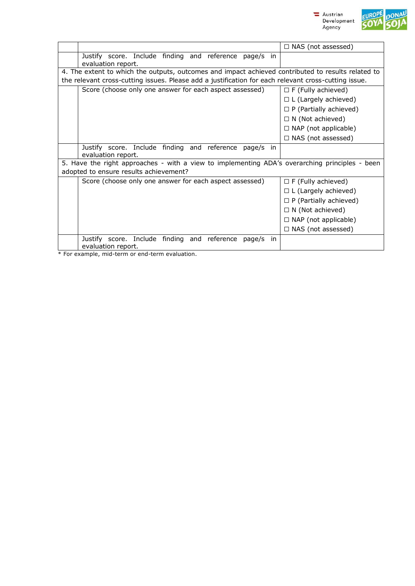



|                                                                                                      | $\Box$ NAS (not assessed)     |  |  |
|------------------------------------------------------------------------------------------------------|-------------------------------|--|--|
| Justify score. Include finding and reference page/s<br>in<br>evaluation report.                      |                               |  |  |
| 4. The extent to which the outputs, outcomes and impact achieved contributed to results related to   |                               |  |  |
| the relevant cross-cutting issues. Please add a justification for each relevant cross-cutting issue. |                               |  |  |
| Score (choose only one answer for each aspect assessed)                                              | $\Box$ F (Fully achieved)     |  |  |
|                                                                                                      | $\Box$ L (Largely achieved)   |  |  |
|                                                                                                      | $\Box$ P (Partially achieved) |  |  |
|                                                                                                      | $\Box$ N (Not achieved)       |  |  |
|                                                                                                      | $\Box$ NAP (not applicable)   |  |  |
|                                                                                                      | $\Box$ NAS (not assessed)     |  |  |
| Justify score. Include finding and reference page/s<br>in<br>evaluation report.                      |                               |  |  |
| 5. Have the right approaches - with a view to implementing ADA's overarching principles - been       |                               |  |  |
| adopted to ensure results achievement?                                                               |                               |  |  |
| Score (choose only one answer for each aspect assessed)                                              | $\Box$ F (Fully achieved)     |  |  |
|                                                                                                      | $\Box$ L (Largely achieved)   |  |  |
|                                                                                                      | $\Box$ P (Partially achieved) |  |  |
|                                                                                                      | $\Box$ N (Not achieved)       |  |  |
|                                                                                                      | $\Box$ NAP (not applicable)   |  |  |
|                                                                                                      | $\Box$ NAS (not assessed)     |  |  |
| Justify score. Include finding and reference<br>page/s<br>in<br>evaluation report.                   |                               |  |  |

\* For example, mid-term or end-term evaluation.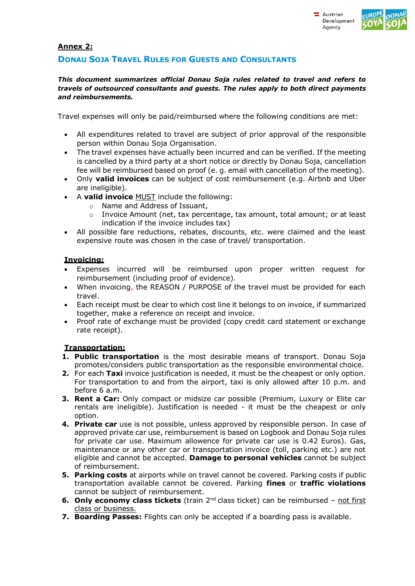

## **Annex 2:**

# **DONAU SOJA TRAVEL RULES FOR GUESTS AND CONSULTANTS**

### *This document summarizes official Donau Soja rules related to travel and refers to travels of outsourced consultants and guests. The rules apply to both direct payments and reimbursements.*

Travel expenses will only be paid/reimbursed where the following conditions are met:

- All expenditures related to travel are subject of prior approval of the responsible person within Donau Soja Organisation.
- The travel expenses have actually been incurred and can be verified. If the meeting is cancelled by a third party at a short notice or directly by Donau Soja, cancellation fee will be reimbursed based on proof (e. g. email with cancellation of the meeting).
- Only **valid invoices** can be subject of cost reimbursement (e.g. Airbnb and Uber are ineligible).
- A **valid invoice** MUST include the following:
	- o Name and Address of Issuant,
	- o Invoice Amount (net, tax percentage, tax amount, total amount; or at least indication if the invoice includes tax)
- All possible fare reductions, rebates, discounts, etc. were claimed and the least expensive route was chosen in the case of travel/ transportation.

# **Invoicing:**

- Expenses incurred will be reimbursed upon proper written request for reimbursement (including proof of evidence).
- When invoicing, the REASON / PURPOSE of the travel must be provided for each travel.
- Each receipt must be clear to which cost line it belongs to on invoice, if summarized together, make a reference on receipt and invoice.
- Proof rate of exchange must be provided (copy credit card statement or exchange rate receipt).

# **Transportation:**

- **1. Public transportation** is the most desirable means of transport. Donau Soja promotes/considers public transportation as the responsible environmental choice.
- **2.** For each **Taxi** invoice justification is needed, it must be the cheapest or only option. For transportation to and from the airport, taxi is only allowed after 10 p.m. and before 6 a.m.
- **3. Rent a Car:** Only compact or midsize car possible (Premium, Luxury or Elite car rentals are ineligible). Justification is needed - it must be the cheapest or only option.
- **4. Private car** use is not possible, unless approved by responsible person. In case of approved private car use, reimbursement is based on Logbook and Donau Soja rules for private car use. Maximum allowence for private car use is 0.42 Euros). Gas, maintenance or any other car or transportation invoice (toll, parking etc.) are not eligible and cannot be accepted. **Damage to personal vehicles** cannot be subject of reimbursement.
- **5. Parking costs** at airports while on travel cannot be covered. Parking costs if public transportation available cannot be covered. Parking **fines** or **traffic violations**  cannot be subject of reimbursement.
- **6. Only economy class tickets** (train 2<sup>nd</sup> class ticket) can be reimbursed not first class or business.
- **7. Boarding Passes:** Flights can only be accepted if a boarding pass is available.